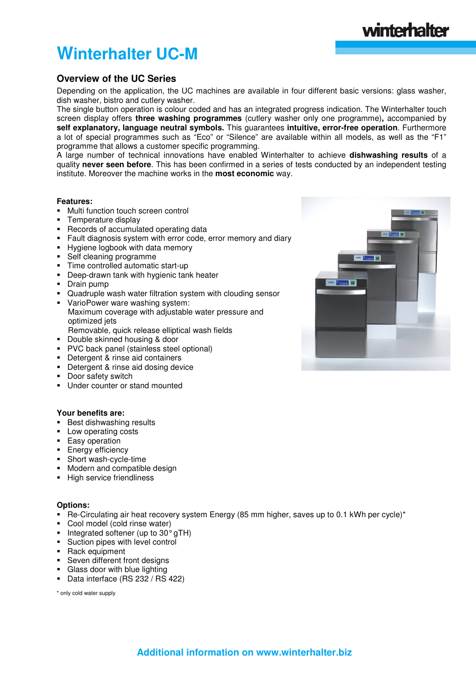# **Winterhalter UC-M**

### **Overview of the UC Series**

Depending on the application, the UC machines are available in four different basic versions: glass washer, dish washer, bistro and cutlery washer.

The single button operation is colour coded and has an integrated progress indication. The Winterhalter touch screen display offers **three washing programmes** (cutlery washer only one programme)**,** accompanied by **self explanatory, language neutral symbols.** This guarantees **intuitive, error-free operation**. Furthermore a lot of special programmes such as "Eco" or "Silence" are available within all models, as well as the "F1" programme that allows a customer specific programming.

A large number of technical innovations have enabled Winterhalter to achieve **dishwashing results** of a quality **never seen before**. This has been confirmed in a series of tests conducted by an independent testing institute. Moreover the machine works in the **most economic** way.

#### **Features:**

- **•** Multi function touch screen control
- Temperature display
- Records of accumulated operating data
- Fault diagnosis system with error code, error memory and diary
- Hygiene logbook with data memory
- Self cleaning programme
- Time controlled automatic start-up
- **Deep-drawn tank with hygienic tank heater**<br> **Drain pump**
- Drain pump
- Quadruple wash water filtration system with clouding sensor
- VarioPower ware washing system: Maximum coverage with adjustable water pressure and optimized jets Removable, quick release elliptical wash fields
- Double skinned housing & door
- **PVC** back panel (stainless steel optional)
- Detergent & rinse aid containers
- Detergent & rinse aid dosing device
- **-** Door safety switch
- **Under counter or stand mounted**

#### **Your benefits are:**

- **Best dishwashing results**
- **Low operating costs**
- **Easy operation**
- **Energy efficiency**
- Short wash-cycle-time
- **Modern and compatible design**
- **High service friendliness**

#### **Options:**

- Re-Circulating air heat recovery system Energy (85 mm higher, saves up to 0.1 kWh per cycle)\*
- Cool model (cold rinse water)
- $\blacksquare$  Integrated softener (up to 30 $^{\circ}$  gTH)
- **Suction pipes with level control**
- **Rack equipment**
- Seven different front designs
- Glass door with blue lighting
- Data interface (RS 232 / RS 422)

\* only cold water supply



winterhalter

**Additional information on www.winterhalter.biz**